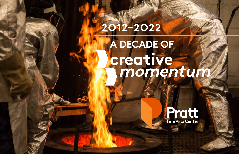### **2O12–2O22**

## **A DECADE OF** creative<br>momentum

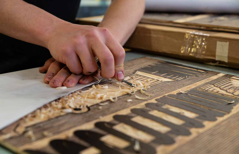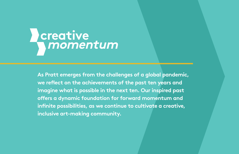# creative<br>Momentum

**As Pratt emerges from the challenges of a global pandemic, we reflect on the achievements of the past ten years and imagine what is possible in the next ten. Our inspired past offers a dynamic foundation for forward momentum and infinite possibilities, as we continue to cultivate a creative, inclusive art-making community.**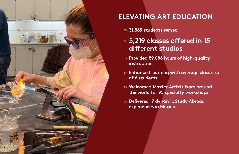

#### **ELEVATING ART EDUCATION**

- **» 31,385 students served**
- **» 5,219 classes offered in 15 different studios**
- **» Provided 89,086 hours of high-quality instruction**
- **» Enhanced learning with average class size of 6 students**
- **» Welcomed Master Artists from around the world for 95 specialty workshops**
- **» Delivered 17 dynamic Study Abroad experiences in Mexico**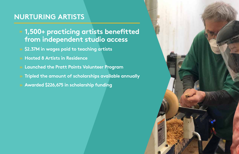#### **NURTURING ARTISTS**

- **» 1,500+ practicing artists benefitted from independent studio access**
- **» \$2.37M in wages paid to teaching artists**
- **» Hosted 8 Artists in Residence**
- **» Launched the Pratt Points Volunteer Program**
- **» Tripled the amount of scholarships available annually**
- **» Awarded \$226,675 in scholarship funding**

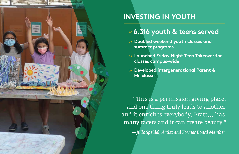

#### **INVESTING IN YOUTH**

- **» 6,316 youth & teens served**
- **» Doubled weekend youth classes and summer programs**
- **» Launched Friday Night Teen Takeover for classes campus-wide**
- **» Developed intergenerational Parent & Me classes**

"This is a permission giving place, and one thing truly leads to another and it enriches everybody. Pratt... has many facets and it can create beauty."

—*Julie Speidel, Artist and Former Board Member*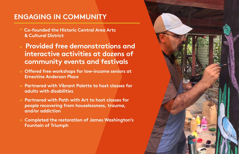#### **ENGAGING IN COMMUNITY**

- **» Co-founded the Historic Central Area Arts & Cultural District**
- **» Provided free demonstrations and interactive activities at dozens of community events and festivals**
- **» Offered free workshops for low-income seniors at Ernestine Anderson Place**
- **» Partnered with Vibrant Palette to host classes for adults with disabilities**
- **» Partnered with Path with Art to host classes for people recovering from houselessness, trauma, and/or addiction**
- **» Completed the restoration of James Washington's Fountain of Triumph**

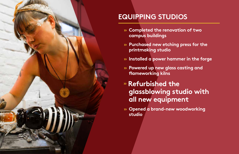

#### **EQUIPPING STUDIOS**

- **» Completed the renovation of two campus buildings**
- **» Purchased new etching press for the printmaking studio**
- **» Installed a power hammer in the forge**
- **» Powered up new glass casting and flameworking kilns**
- **» Refurbished the glassblowing studio with all new equipment**
- **» Opened a brand-new woodworking studio**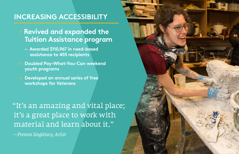#### **INCREASING ACCESSIBILITY**

#### **» Revived and expanded the Tuition Assistance program**

- **Awarded \$110,967 in need-based assistance to 455 recipients**
- **» Doubled Pay-What-You-Can weekend youth programs**
- **» Developed an annual series of free workshops for Veterans**

"It's an amazing and vital place; it's a great place to work with material and learn about it."

*—Preston Singletary, Artist*

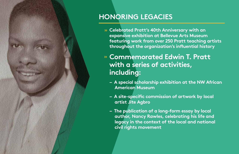#### **HONORING LEGACIES**

**» Celebrated Pratt's 40th Anniversary with an expansive exhibition at Bellevue Arts Museum featuring work from over 250 Pratt teaching artists throughout the organization's influential history**

**» Commemorated Edwin T. Pratt with a series of activities, including:**

- **A special scholarship exhibition at the NW African American Museum**
- **A site-specific commission of artwork by local artist Jite Agbro**
- **The publication of a long-form essay by local author, Nancy Rawles, celebrating his life and legacy in the context of the local and national civil rights movement**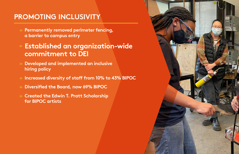#### **PROMOTING INCLUSIVITY**

- **» Permanently removed perimeter fencing, a barrier to campus entry**
- **» Established an organization-wide commitment to DEI**
- **» Developed and implemented an inclusive hiring policy**
- **» Increased diversity of staff from 10% to 43% BIPOC**
- **» Diversified the Board, now 69% BIPOC**
- **» Created the Edwin T. Pratt Scholarship for BIPOC artists**

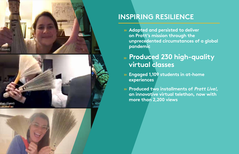



#### **INSPIRING RESILIENCE**

**» Adapted and persisted to deliver on Pratt's mission through the unprecedented circumstances of a global pandemic**

#### **» Produced 230 high-quality virtual classes**

- **» Engaged 1,109 students in at-home experiences**
- **» Produced two installments of Pratt Live!, an innovative virtual telethon, now with more than 2,200 views**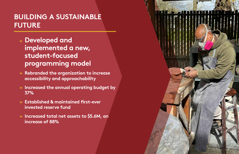#### **BUILDING A SUSTAINABLE FUTURE**

- **» Developed and implemented a new, student-focused programming model**
- **» Rebranded the organization to increase accessibility and approachability**
- **» Increased the annual operating budget by 37%**
- **» Established & maintained first-ever invested reserve fund**
- **» Increased total net assets to \$5.6M, an increase of 88%**

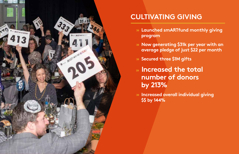

#### **CULTIVATING GIVING**

- **» Launched smARTfund monthly giving program**
- **» Now generating \$31k per year with an average pledge of just \$22 per month**
- **» Secured three \$1M gifts**
- **» Increased the total number of donors by 213%**
- **» Increased overall individual giving \$\$ by 144%**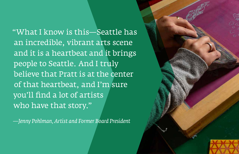"What I know is this—Seattle has an incredible, vibrant arts scene and it is a heartbeat and it brings people to Seattle. And I truly believe that Pratt is at the center of that heartbeat, and I'm sure you'll find a lot of artists who have that story."

*—Jenny Pohlman, Artist and Former Board President*